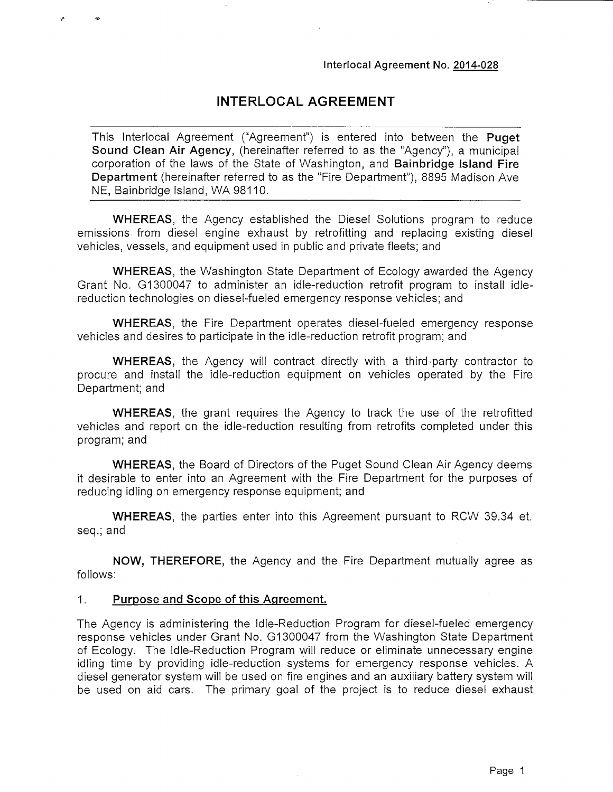## **INTERLOCAL AGREEMENT**

This Interlocal Agreement ("Agreement") is entered into between the **Puget Sound Clean Air Agency,** (hereinafter referred to as the "Agency"), a municipal corporation of the laws of the State of Washington, and **Bainbridge Island Fire Department** (hereinafter referred to as the "Fire Department"), 8895 Madison Ave NE, Bainbridge Island, WA 98110.

**WHEREAS,** the Agency established the Diesel Solutions program to reduce emissions from diesel engine exhaust by retrofitting and replacing existing diesel vehicles, vessels, and equipment used in public and private fleets; and

**WHEREAS,** the Washington State Department of Ecology awarded the Agency Grant No. G1300047 to administer an idle-reduction retrofit program to install idlereduction technologies on diesel-fueled emergency response vehicles; and

**WHEREAS,** the Fire Department operates diesel-fueled emergency response vehicles and desires to participate in the idle-reduction retrofit program; and

**WHEREAS,** the Agency will contract directly with a third-party contractor to procure and install the idle-reduction equipment on vehicles operated by the Fire Department; and

**WHEREAS,** the grant requires the Agency to track the use of the retrofitted vehicles and report on the idle-reduction resulting from retrofits completed under this program; and

**WHEREAS,** the Board of Directors of the Puget Sound Clean Air Agency deems it desirable to enter into an Agreement with the Fire Department for the purposes of reducing idling on emergency response equipment; and

**WHEREAS,** the parties enter into this Agreement pursuant to RCW 39.34 et. seq.; and

**NOW, THEREFORE,** the Agency and the Fire Department mutually agree as follows:

#### **1. Purpose and Scope of this Agreement.**

The Agency is administering the Idle-Reduction Program for diesel-fueled emergency response vehicles under Grant No. G1300047 from the Washington State Department of Ecology. The Idle-Reduction Program will reduce or eliminate unnecessary engine idling time by providing idle-reduction systems for emergency response vehicles. A diesel generator system will be used on fire engines and an auxiliary battery system will be used on aid cars. The primary goal of the project is to reduce diesel exhaust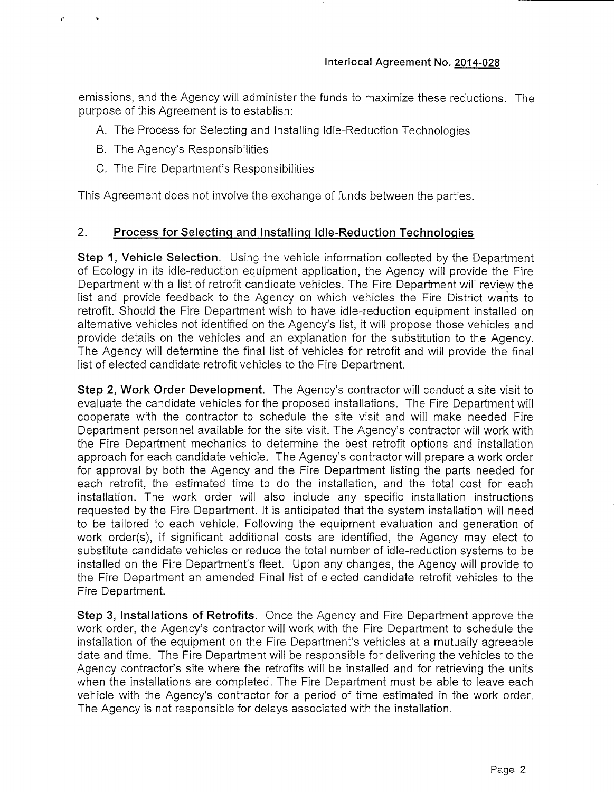emissions, and the Agency will administer the funds to maximize these reductions. The purpose of this Agreement is to establish:

- A. The Process for Selecting and Installing Idle-Reduction Technologies
- B. The Agency's Responsibilities
- C. The Fire Department's Responsibilities

This Agreement does not involve the exchange of funds between the parties.

#### **2. Process for Selecting and Installing Idle-Reduction Technologies**

**Step 1, Vehicle Selection.** Using the vehicle information collected by the Department of Ecology in its idle-reduction equipment application, the Agency will provide the Fire Department with a list of retrofit candidate vehicles. The Fire Department will review the list and provide feedback to the Agency on which vehicles the Fire District wants to retrofit. Should the Fire Department wish to have idle-reduction equipment installed on alternative vehicles not identified on the Agency's list, it will propose those vehicles and provide details on the vehicles and an explanation for the substitution to the Agency. The Agency will determine the final list of vehicles for retrofit and will provide the final list of elected candidate retrofit vehicles to the Fire Department.

**Step 2, Work Order Development.** The Agency's contractor will conduct a site visit to evaluate the candidate vehicles for the proposed installations. The Fire Department will cooperate with the contractor to schedule the site visit and will make needed Fire Department personnel available for the site visit. The Agency's contractor will work with the Fire Department mechanics to determine the best retrofit options and installation approach for each candidate vehicle. The Agency's contractor will prepare a work order for approval by both the Agency and the Fire Department listing the parts needed for each retrofit, the estimated time to do the installation, and the total cost for each installation. The work order will also include any specific installation instructions requested by the Fire Department. It is anticipated that the system installation will need to be tailored to each vehicle. Following the equipment evaluation and generation of work order(s), if significant additional costs are identified, the Agency may elect to substitute candidate vehicles or reduce the total number of idle-reduction systems to be installed on the Fire Department's fleet. Upon any changes, the Agency will provide to the Fire Department an amended Final list of elected candidate retrofit vehicles to the Fire Department.

**Step 3, Installations of Retrofits.** Once the Agency and Fire Department approve the work order, the Agency's contractor will work with the Fire Department to schedule the installation of the equipment on the Fire Department's vehicles at a mutually agreeable date and time. The Fire Department will be responsible for delivering the vehicles to the Agency contractor's site where the retrofits will be installed and for retrieving the units when the installations are completed. The Fire Department must be able to leave each vehicle with the Agency's contractor for a period of time estimated in the work order. The Agency is not responsible for delays associated with the installation.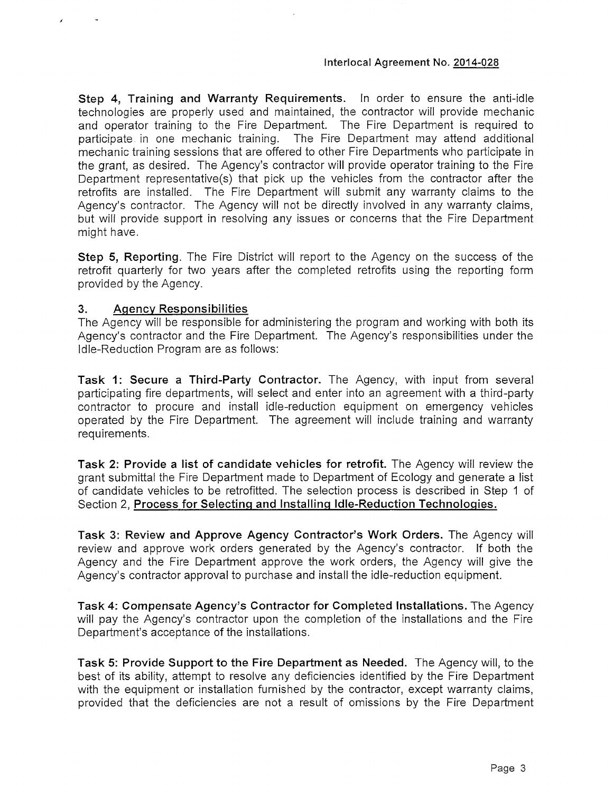**Step 4, Training and Warranty Requirements.** In order to ensure the anti-idle technologies are properly used and maintained, the contractor will provide mechanic and operator training to the Fire Department. The Fire Department is required to participate in one mechanic training. The Fire Department may attend additional mechanic training sessions that are offered to other Fire Departments who participate in the grant, as desired. The Agency's contractor will provide operator training to the Fire Department representative(s) that pick up the vehicles from the contractor after the retrofits are installed. The Fire Department will submit any warranty claims to the Agency's contractor. The Agency will not be directly involved in any warranty claims, but will provide support in resolving any issues or concerns that the Fire Department might have.

**Step 5, Reporting.** The Fire District will report to the Agency on the success of the retrofit quarterly for two years after the completed retrofits using the reporting form provided by the Agency.

### **3. Agency Responsibilities**

The Agency will be responsible for administering the program and working with both its Agency's contractor and the Fire Department. The Agency's responsibilities under the Idle-Reduction Program are as follows:

**Task 1: Secure a Third-Party Contractor.** The Agency, with input from several participating fire departments, will select and enter into an agreement with a third-party contractor to procure and install idle-reduction equipment on emergency vehicles operated by the Fire Department. The agreement will include training and warranty requirements.

**Task 2: Provide a list of candidate vehicles for retrofit.** The Agency will review the grant submittal the Fire Department made to Department of Ecology and generate a list of candidate vehicles to be retrofitted. The selection process is described in Step 1 of Section 2, **Process for Selecting and Installing Idle-Reduction Technologies.**

**Task 3: Review and Approve Agency Contractor's Work Orders.** The Agency will review and approve work orders generated by the Agency's contractor. If both the Agency and the Fire Department approve the work orders, the Agency will give the Agency's contractor approval to purchase and install the idle-reduction equipment.

**Task 4: Compensate Agency's Contractor for Completed Installations.** The Agency will pay the Agency's contractor upon the completion of the installations and the Fire Department's acceptance of the installations.

**Task 5: Provide Support to the Fire Department as Needed.** The Agency will, to the best of its ability, attempt to resolve any deficiencies identified by the Fire Department with the equipment or installation furnished by the contractor, except warranty claims, provided that the deficiencies are not a result of omissions by the Fire Department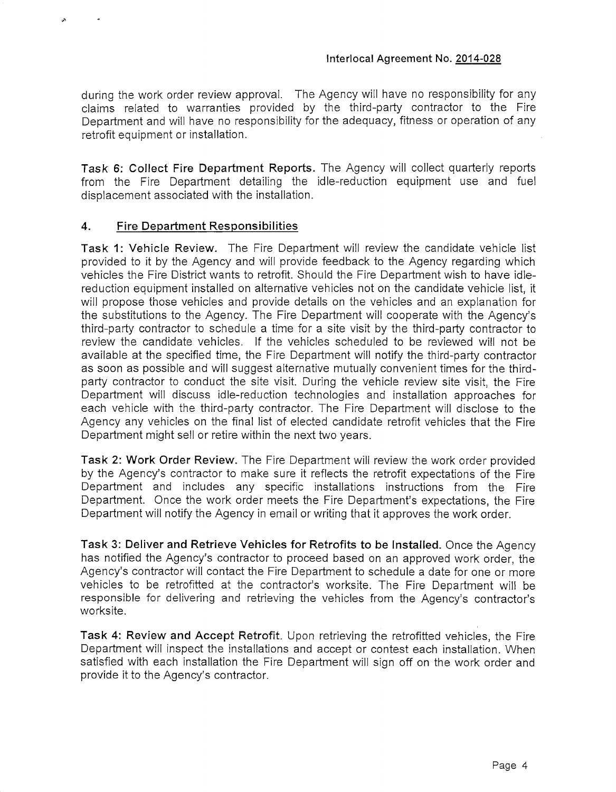during the work order review approval. The Agency will have no responsibility for any claims related to warranties provided by the third-party contractor to the Fire Department and will have no responsibility for the adequacy, fitness or operation of any retrofit equipment or installation.

Task 6: Collect Fire Department Reports. The Agency will collect quarterly reports from the Fire Department detailing the idle-reduction equipment use and fuel displacement associated with the installation.

#### 4. Fire Department Responsibilities

Task 1: Vehicle Review. The Fire Department will review the candidate vehicle list provided to it by the Agency and will provide feedback to the Agency regarding which vehicles the Fire District wants to retrofit. Should the Fire Department wish to have idlereduction equipment installed on alternative vehicles not on the candidate vehicle list, it will propose those vehicles and provide details on the vehicles and an explanation for the substitutions to the Agency. The Fire Department will cooperate with the Agency's third-party contractor to schedule a time for a site visit by the third-party contractor to review the candidate vehicles. If the vehicles scheduled to be reviewed will not be available at the specified time, the Fire Department will notify the third-party contractor as soon as possible and will suggest alternative mutually convenient times for the thirdparty contractor to conduct the site visit. During the vehicle review site visit, the Fire Department will discuss idle-reduction technologies and installation approaches for each vehicle with the third-party contractor. The Fire Department will disclose to the Agency any vehicles on the final list of elected candidate retrofit vehicles that the Fire Department might sell or retire within the next two years.

Task 2: Work Order Review. The Fire Department will review the work order provided by the Agency's contractor to make sure it reflects the retrofit expectations of the Fire Department and includes any specific installations instructions from the Fire Department. Once the work order meets the Fire Department's expectations, the Fire Department will notify the Agency in email or writing that it approves the work order.

Task 3: Deliver and Retrieve Vehicles for Retrofits to be Installed. Once the Agency has notified the Agency's contractor to proceed based on an approved work order, the Agency's contractor will contact the Fire Department to schedule a date for one or more vehicles to be retrofitted at the contractor's worksite. The Fire Department will be responsible for delivering and retrieving the vehicles from the Agency's contractor's worksite.

Task 4: Review and Accept Retrofit. Upon retrieving the retrofitted vehicles, the Fire Department will inspect the installations and accept or contest each installation. When satisfied with each installation the Fire Department will sign off on the work order and provide it to the Agency's contractor.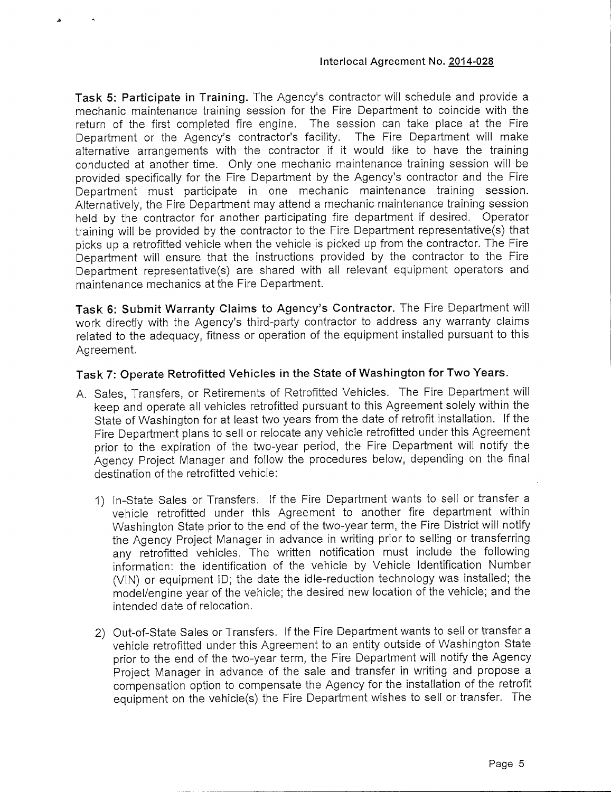**Task 5: Participate in Training.** The Agency's contractor will schedule and provide a mechanic maintenance training session for the Fire Department to coincide with the return of the first completed fire engine. The session can take place at the Fire Department or the Agency's contractor's facility. The Fire Department will make alternative arrangements with the contractor if it would like to have the training conducted at another time. Only one mechanic maintenance training session will be provided specifically for the Fire Department by the Agency's contractor and the Fire Department must participate in one mechanic maintenance training session. Alternatively, the Fire Department may attend a mechanic maintenance training session held by the contractor for another participating fire department if desired. Operator training will be provided by the contractor to the Fire Department representative(s) that picks up a retrofitted vehicle when the vehicle is picked up from the contractor. The Fire Department will ensure that the instructions provided by the contractor to the Fire Department representative(s) are shared with all relevant equipment operators and maintenance mechanics at the Fire Department.

**Task 6: Submit Warranty Claims to Agency's Contractor.** The Fire Department will work directly with the Agency's third-party contractor to address any warranty claims related to the adequacy, fitness or operation of the equipment installed pursuant to this Agreement.

### **Task 7: Operate Retrofitted Vehicles in the State of Washington for Two Years.**

- A. Sales, Transfers, or Retirements of Retrofitted Vehicles. The Fire Department will keep and operate all vehicles retrofitted pursuant to this Agreement solely within the State of Washington for at least two years from the date of retrofit installation. If the Fire Department plans to sell or relocate any vehicle retrofitted under this Agreement prior to the expiration of the two-year period, the Fire Department will notify the Agency Project Manager and follow the procedures beiow, depending on the final destination of the retrofitted vehicle:
	- 1) In-State Sales or Transfers, if the Fire Department wants to sell or transfer a vehicle retrofitted under this Agreement to another fire department within Washington State prior to the end of the two-year term, the Fire District will notify the Agency Project Manager in advance in writing prior to selling or transferring any retrofitted vehicles. The written notification must include the following information: the identification of the vehicle by Vehicle Identification Number (VIN) or equipment ID; the date the idle-reduction technology was installed; the model/engine year of the vehicle; the desired new location of the vehicle; and the intended date of relocation.
	- 2) Out-of-State Sales or Transfers. If the Fire Department wants to sell or transfer a vehicle retrofitted under this Agreement to an entity outside of Washington State prior to the end of the two-year term, the Fire Department will notify the Agency Project Manager in advance of the sale and transfer in writing and propose a compensation option to compensate the Agency for the installation of the retrofit equipment on the vehicle(s) the Fire Department wishes to sell or transfer. The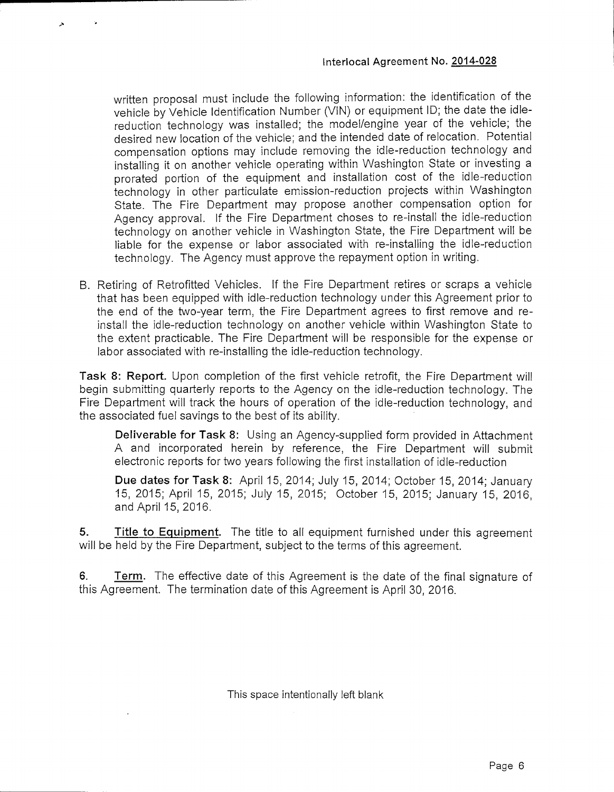written proposal must include the following information: the identification of the vehicle by Vehicle Identification Number (VIN) or equipment ID; the date the idlereduction technology was installed; the model/engine year of the vehicle; the desired new location of the vehicle; and the intended date of relocation. Potential compensation options may include removing the idle-reduction technology and installing it on another vehicle operating within Washington State or investing a prorated portion of the equipment and installation cost of the idle-reduction technology in other particulate emission-reduction projects within Washington State. The Fire Department may propose another compensation option for Agency approval. If the Fire Department choses to re-install the idle-reduction technology on another vehicle in Washington State, the Fire Department will be liable for the expense or labor associated with re-installing the idle-reduction technology. The Agency must approve the repayment option in writing.

B. Retiring of Retrofitted Vehicles. If the Fire Department retires or scraps a vehicle that has been equipped with idle-reduction technology under this Agreement prior to the end of the two-year term, the Fire Department agrees to first remove and reinstall the idle-reduction technology on another vehicle within Washington State to the extent practicable. The Fire Department will be responsible for the expense or labor associated with re-installing the idle-reduction technology.

**Task 8: Report.** Upon completion of the first vehicle retrofit, the Fire Department will begin submitting quarterly reports to the Agency on the idle-reduction technology. The Fire Department will track the hours of operation of the idle-reduction technology, and the associated fuel savings to the best of its ability.

**Deliverable for Task 8:** Using an Agency-supplied form provided in Attachment A and incorporated herein by reference, the Fire Department will submit electronic reports for two years following the first installation of idle-reduction

**Due dates for Task 8:** April 15, 2014; July 15, 2014; October 15, 2014; January 15, 2015; April 15, 2015; July 15, 2015; October 15, 2015; January 15, 2016, and April 15,2016.

**5. Title to Equipment.** The title to all equipment furnished under this agreement will be held by the Fire Department, subject to the terms of this agreement.

**6. Term.** The effective date of this Agreement is the date of the final signature of this Agreement. The termination date of this Agreement is April 30, 2016.

This space intentionally left blank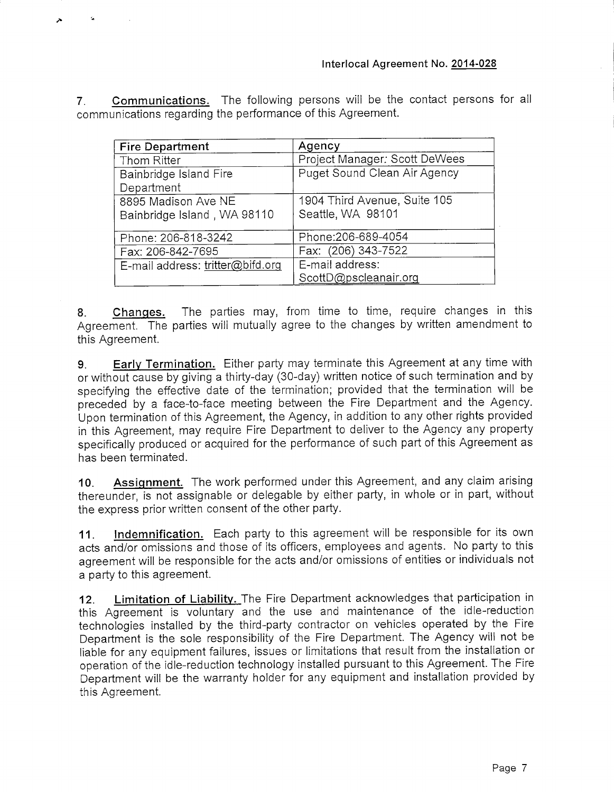**7. Communications.** The following persons will be the contact persons for all communications regarding the performance of this Agreement.

| <b>Fire Department</b>           | Agency                        |
|----------------------------------|-------------------------------|
| Thom Ritter                      | Project Manager: Scott DeWees |
| Bainbridge Island Fire           | Puget Sound Clean Air Agency  |
| Department                       |                               |
| 8895 Madison Ave NE              | 1904 Third Avenue, Suite 105  |
| Bainbridge Island, WA 98110      | Seattle, WA 98101             |
|                                  |                               |
| Phone: 206-818-3242              | Phone: 206-689-4054           |
| Fax: 206-842-7695                | Fax: (206) 343-7522           |
| E-mail address: tritter@bifd.org | E-mail address:               |
|                                  | ScottD@pscleanair.org         |

**8. Changes.** The parties may, from time to time, require changes in this Agreement. The parties will mutually agree to the changes by written amendment to this Agreement.

**9. Early Termination.** Either party may terminate this Agreement at any time with or without cause by giving a thirty-day (30-day) written notice of such termination and by specifying the effective date of the termination; provided that the termination will be preceded by a face-to-face meeting between the Fire Department and the Agency. Upon termination of this Agreement, the Agency, in addition to any other rights provided in this Agreement, may require Fire Department to deliver to the Agency any property specifically produced or acquired for the performance of such part of this Agreement as has been terminated.

**10. Assignment.** The work performed under this Agreement, and any claim arising thereunder, is not assignable or delegable by either party, in whole or in part, without the express prior written consent of the other party.

**11. Indemnification.** Each party to this agreement will be responsible for its own acts and/or omissions and those of its officers, employees and agents. No party to this agreement will be responsible for the acts and/or omissions of entities or individuals not a party to this agreement.

**12. Limitation of Liability.** The Fire Department acknowledges that participation in this Agreement is voluntary and the use and maintenance of the idle-reduction technologies installed by the third-party contractor on vehicles operated by the Fire Department is the sole responsibility of the Fire Department. The Agency will not be liable for any equipment failures, issues or limitations that result from the installation or operation of the idle-reduction technology installed pursuant to this Agreement. The Fire Department will be the warranty holder for any equipment and installation provided by this Agreement.